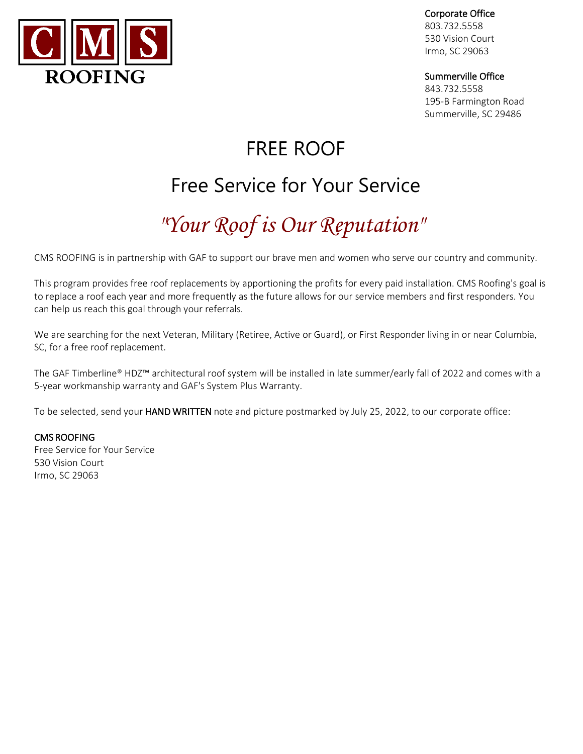

Corporate Office

803.732.5558 530 Vision Court Irmo, SC 29063

## Summerville Office

843.732.5558 195-B Farmington Road Summerville, SC 29486

# FREE ROOF

# Free Service for Your Service

# *"Your Roof is Our Reputation"*

CMS ROOFING is in partnership with GAF to support our brave men and women who serve our country and community.

This program provides free roof replacements by apportioning the profits for every paid installation. CMS Roofing's goal is to replace a roof each year and more frequently as the future allows for our service members and first responders. You can help us reach this goal through your referrals.

We are searching for the next Veteran, Military (Retiree, Active or Guard), or First Responder living in or near Columbia, SC, for a free roof replacement.

The GAF Timberline® HDZ™ architectural roof system will be installed in late summer/early fall of 2022 and comes with a 5-year workmanship warranty and GAF's System Plus Warranty.

To be selected, send your HAND WRITTEN note and picture postmarked by July 25, 2022, to our corporate office:

## CMS ROOFING

Free Service for Your Service 530 Vision Court Irmo, SC 29063